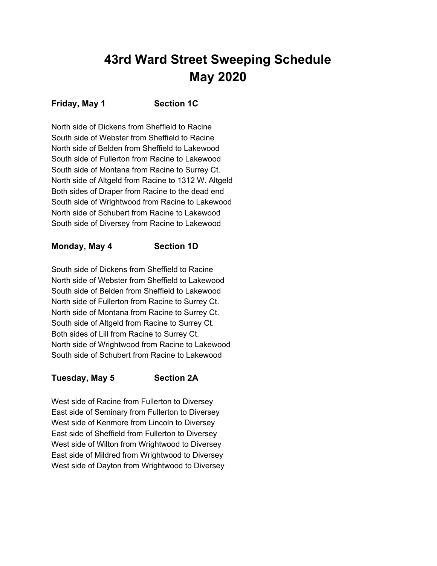# **43rd Ward Street Sweeping Schedule May 2020**

#### **Friday, May 1 Section 1C**

North side of Dickens from Sheffield to Racine South side of Webster from Sheffield to Racine North side of Belden from Sheffield to Lakewood South side of Fullerton from Racine to Lakewood South side of Montana from Racine to Surrey Ct. North side of Altgeld from Racine to 1312 W. Altgeld Both sides of Draper from Racine to the dead end South side of Wrightwood from Racine to Lakewood North side of Schubert from Racine to Lakewood South side of Diversey from Racine to Lakewood

#### **Monday, May 4 Section 1D**

South side of Dickens from Sheffield to Racine North side of Webster from Sheffield to Lakewood South side of Belden from Sheffield to Lakewood North side of Fullerton from Racine to Surrey Ct. North side of Montana from Racine to Surrey Ct. South side of Altgeld from Racine to Surrey Ct. Both sides of Lill from Racine to Surrey Ct. North side of Wrightwood from Racine to Lakewood South side of Schubert from Racine to Lakewood

#### **Tuesday, May 5 Section 2A**

West side of Racine from Fullerton to Diversey East side of Seminary from Fullerton to Diversey West side of Kenmore from Lincoln to Diversey East side of Sheffield from Fullerton to Diversey West side of Wilton from Wrightwood to Diversey East side of Mildred from Wrightwood to Diversey West side of Dayton from Wrightwood to Diversey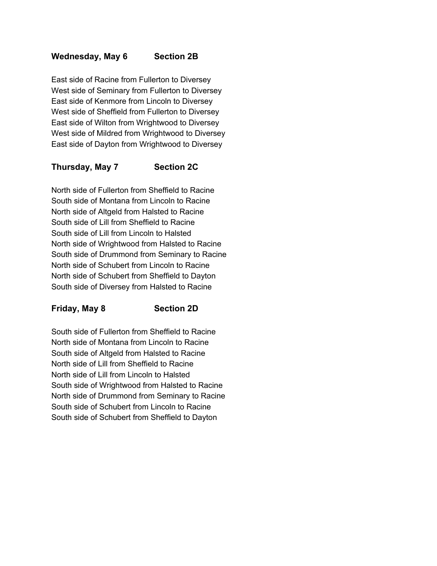#### **Wednesday, May 6 Section 2B**

East side of Racine from Fullerton to Diversey West side of Seminary from Fullerton to Diversey East side of Kenmore from Lincoln to Diversey West side of Sheffield from Fullerton to Diversey East side of Wilton from Wrightwood to Diversey West side of Mildred from Wrightwood to Diversey East side of Dayton from Wrightwood to Diversey

## **Thursday, May 7 Section 2C**

North side of Fullerton from Sheffield to Racine South side of Montana from Lincoln to Racine North side of Altgeld from Halsted to Racine South side of Lill from Sheffield to Racine South side of Lill from Lincoln to Halsted North side of Wrightwood from Halsted to Racine South side of Drummond from Seminary to Racine North side of Schubert from Lincoln to Racine North side of Schubert from Sheffield to Dayton South side of Diversey from Halsted to Racine

#### **Friday, May 8 Section 2D**

South side of Fullerton from Sheffield to Racine North side of Montana from Lincoln to Racine South side of Altgeld from Halsted to Racine North side of Lill from Sheffield to Racine North side of Lill from Lincoln to Halsted South side of Wrightwood from Halsted to Racine North side of Drummond from Seminary to Racine South side of Schubert from Lincoln to Racine South side of Schubert from Sheffield to Dayton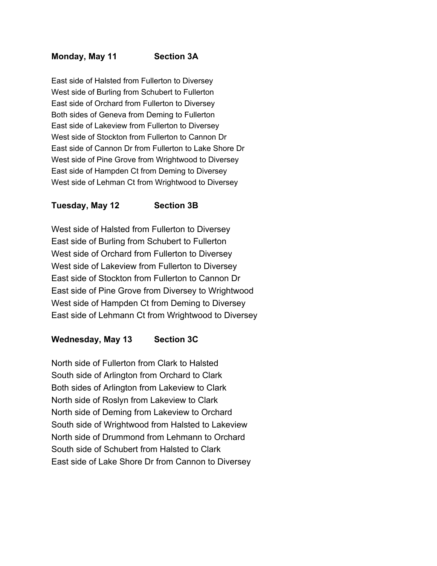## **Monday, May 11 Section 3A**

East side of Halsted from Fullerton to Diversey West side of Burling from Schubert to Fullerton East side of Orchard from Fullerton to Diversey Both sides of Geneva from Deming to Fullerton East side of Lakeview from Fullerton to Diversey West side of Stockton from Fullerton to Cannon Dr East side of Cannon Dr from Fullerton to Lake Shore Dr West side of Pine Grove from Wrightwood to Diversey East side of Hampden Ct from Deming to Diversey West side of Lehman Ct from Wrightwood to Diversey

## **Tuesday, May 12 Section 3B**

West side of Halsted from Fullerton to Diversey East side of Burling from Schubert to Fullerton West side of Orchard from Fullerton to Diversey West side of Lakeview from Fullerton to Diversey East side of Stockton from Fullerton to Cannon Dr East side of Pine Grove from Diversey to Wrightwood West side of Hampden Ct from Deming to Diversey East side of Lehmann Ct from Wrightwood to Diversey

#### **Wednesday, May 13 Section 3C**

North side of Fullerton from Clark to Halsted South side of Arlington from Orchard to Clark Both sides of Arlington from Lakeview to Clark North side of Roslyn from Lakeview to Clark North side of Deming from Lakeview to Orchard South side of Wrightwood from Halsted to Lakeview North side of Drummond from Lehmann to Orchard South side of Schubert from Halsted to Clark East side of Lake Shore Dr from Cannon to Diversey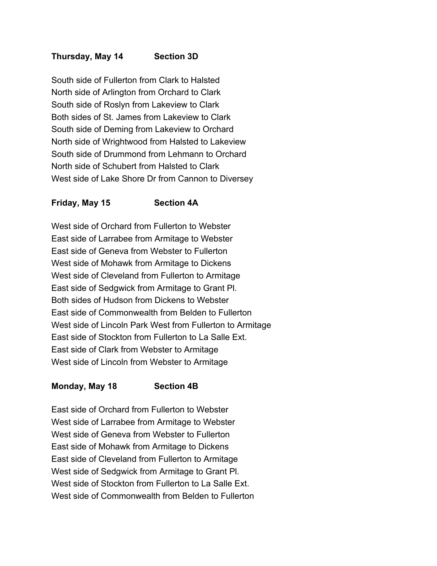## **Thursday, May 14 Section 3D**

South side of Fullerton from Clark to Halsted North side of Arlington from Orchard to Clark South side of Roslyn from Lakeview to Clark Both sides of St. James from Lakeview to Clark South side of Deming from Lakeview to Orchard North side of Wrightwood from Halsted to Lakeview South side of Drummond from Lehmann to Orchard North side of Schubert from Halsted to Clark West side of Lake Shore Dr from Cannon to Diversey

#### **Friday, May 15 Section 4A**

West side of Orchard from Fullerton to Webster East side of Larrabee from Armitage to Webster East side of Geneva from Webster to Fullerton West side of Mohawk from Armitage to Dickens West side of Cleveland from Fullerton to Armitage East side of Sedgwick from Armitage to Grant Pl. Both sides of Hudson from Dickens to Webster East side of Commonwealth from Belden to Fullerton West side of Lincoln Park West from Fullerton to Armitage East side of Stockton from Fullerton to La Salle Ext. East side of Clark from Webster to Armitage West side of Lincoln from Webster to Armitage

#### **Monday, May 18 Section 4B**

East side of Orchard from Fullerton to Webster West side of Larrabee from Armitage to Webster West side of Geneva from Webster to Fullerton East side of Mohawk from Armitage to Dickens East side of Cleveland from Fullerton to Armitage West side of Sedgwick from Armitage to Grant Pl. West side of Stockton from Fullerton to La Salle Ext. West side of Commonwealth from Belden to Fullerton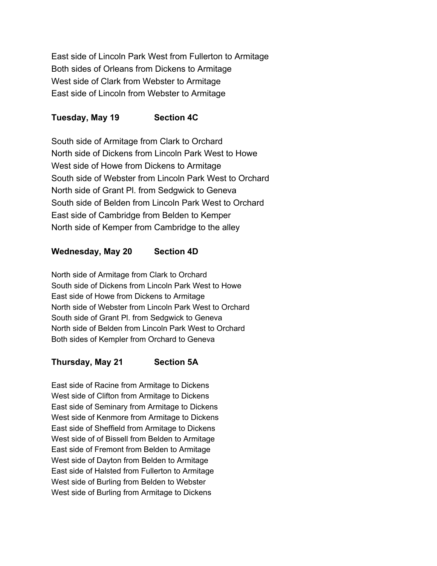East side of Lincoln Park West from Fullerton to Armitage Both sides of Orleans from Dickens to Armitage West side of Clark from Webster to Armitage East side of Lincoln from Webster to Armitage

## **Tuesday, May 19 Section 4C**

South side of Armitage from Clark to Orchard North side of Dickens from Lincoln Park West to Howe West side of Howe from Dickens to Armitage South side of Webster from Lincoln Park West to Orchard North side of Grant Pl. from Sedgwick to Geneva South side of Belden from Lincoln Park West to Orchard East side of Cambridge from Belden to Kemper North side of Kemper from Cambridge to the alley

## **Wednesday, May 20 Section 4D**

North side of Armitage from Clark to Orchard South side of Dickens from Lincoln Park West to Howe East side of Howe from Dickens to Armitage North side of Webster from Lincoln Park West to Orchard South side of Grant Pl. from Sedgwick to Geneva North side of Belden from Lincoln Park West to Orchard Both sides of Kempler from Orchard to Geneva

## **Thursday, May 21 Section 5A**

East side of Racine from Armitage to Dickens West side of Clifton from Armitage to Dickens East side of Seminary from Armitage to Dickens West side of Kenmore from Armitage to Dickens East side of Sheffield from Armitage to Dickens West side of of Bissell from Belden to Armitage East side of Fremont from Belden to Armitage West side of Dayton from Belden to Armitage East side of Halsted from Fullerton to Armitage West side of Burling from Belden to Webster West side of Burling from Armitage to Dickens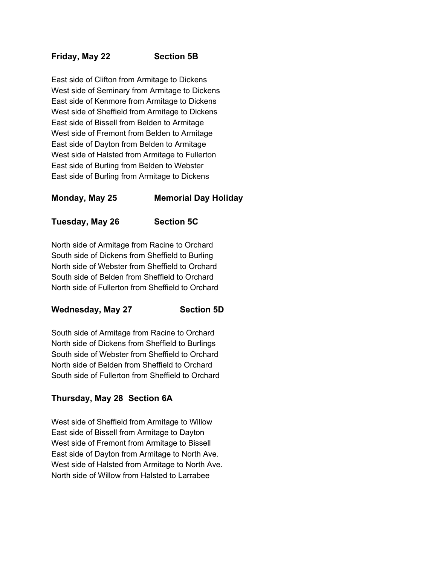## **Friday, May 22 Section 5B**

East side of Clifton from Armitage to Dickens West side of Seminary from Armitage to Dickens East side of Kenmore from Armitage to Dickens West side of Sheffield from Armitage to Dickens East side of Bissell from Belden to Armitage West side of Fremont from Belden to Armitage East side of Dayton from Belden to Armitage West side of Halsted from Armitage to Fullerton East side of Burling from Belden to Webster East side of Burling from Armitage to Dickens

## **Monday, May 25 Memorial Day Holiday**

**Tuesday, May 26 Section 5C**

North side of Armitage from Racine to Orchard South side of Dickens from Sheffield to Burling North side of Webster from Sheffield to Orchard South side of Belden from Sheffield to Orchard North side of Fullerton from Sheffield to Orchard

#### **Wednesday, May 27 Section 5D**

South side of Armitage from Racine to Orchard North side of Dickens from Sheffield to Burlings South side of Webster from Sheffield to Orchard North side of Belden from Sheffield to Orchard South side of Fullerton from Sheffield to Orchard

## **Thursday, May 28 Section 6A**

West side of Sheffield from Armitage to Willow East side of Bissell from Armitage to Dayton West side of Fremont from Armitage to Bissell East side of Dayton from Armitage to North Ave. West side of Halsted from Armitage to North Ave. North side of Willow from Halsted to Larrabee